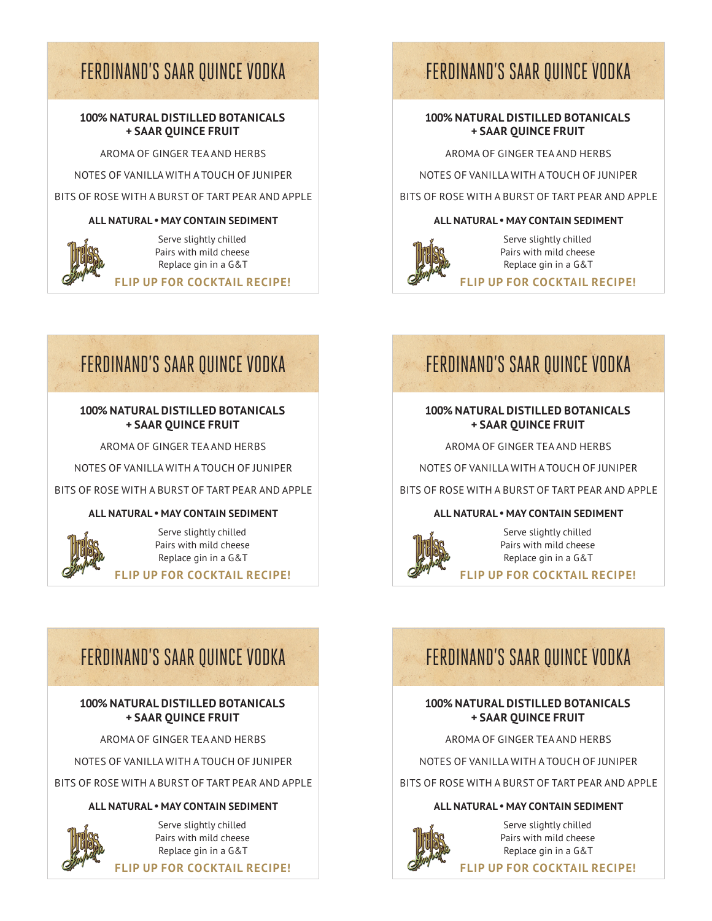# FERDINAND'S SAAR QUINCE VODKA FERDINAND'S SAAR QUINCE VODKA

#### **100% NATURAL DISTILLED BOTANICALS + SAAR QUINCE FRUIT**

AROMA OF GINGER TEA AND HERBS

NOTES OF VANILLA WITH A TOUCH OF JUNIPER

BITS OF ROSE WITH A BURST OF TART PEAR AND APPLE

#### **ALL NATURAL • MAY CONTAIN SEDIMENT**



Serve slightly chilled Pairs with mild cheese Replace gin in a G&T

**FLIP UP FOR COCKTAIL RECIPE!**

### **100% NATURAL DISTILLED BOTANICALS + SAAR QUINCE FRUIT**

AROMA OF GINGER TEA AND HERBS

NOTES OF VANILLA WITH A TOUCH OF JUNIPER

BITS OF ROSE WITH A BURST OF TART PEAR AND APPLE

#### **ALL NATURAL • MAY CONTAIN SEDIMENT**



Serve slightly chilled Pairs with mild cheese Replace gin in a G&T **FLIP UP FOR COCKTAIL RECIPE!**

# FERDINAND'S SAAR QUINCE VODKA FERDINAND'S SAAR QUINCE VODKA

### **100% NATURAL DISTILLED BOTANICALS + SAAR QUINCE FRUIT**

AROMA OF GINGER TEA AND HERBS

NOTES OF VANILLA WITH A TOUCH OF JUNIPER

BITS OF ROSE WITH A BURST OF TART PEAR AND APPLE

#### **ALL NATURAL • MAY CONTAIN SEDIMENT**



Serve slightly chilled Pairs with mild cheese Replace gin in a G&T

**FLIP UP FOR COCKTAIL RECIPE!**

# FERDINAND'S SAAR QUINCE VODKA FERDINAND'S SAAR QUINCE VODKA

### **100% NATURAL DISTILLED BOTANICALS + SAAR QUINCE FRUIT**

AROMA OF GINGER TEA AND HERBS

NOTES OF VANILLA WITH A TOUCH OF JUNIPER

BITS OF ROSE WITH A BURST OF TART PEAR AND APPLE

#### **ALL NATURAL • MAY CONTAIN SEDIMENT**

Serve slightly chilled Pairs with mild cheese Replace gin in a G&T **FLIP UP FOR COCKTAIL RECIPE!**

### **100% NATURAL DISTILLED BOTANICALS + SAAR QUINCE FRUIT**

AROMA OF GINGER TEA AND HERBS

NOTES OF VANILLA WITH A TOUCH OF JUNIPER

BITS OF ROSE WITH A BURST OF TART PEAR AND APPLE

#### **ALL NATURAL • MAY CONTAIN SEDIMENT**



Serve slightly chilled Pairs with mild cheese Replace gin in a G&T

**FLIP UP FOR COCKTAIL RECIPE!**

### **100% NATURAL DISTILLED BOTANICALS + SAAR QUINCE FRUIT**

AROMA OF GINGER TEA AND HERBS

NOTES OF VANILLA WITH A TOUCH OF JUNIPER

BITS OF ROSE WITH A BURST OF TART PEAR AND APPLE

### **ALL NATURAL • MAY CONTAIN SEDIMENT**



Serve slightly chilled Pairs with mild cheese Replace gin in a G&T

**FLIP UP FOR COCKTAIL RECIPE!**